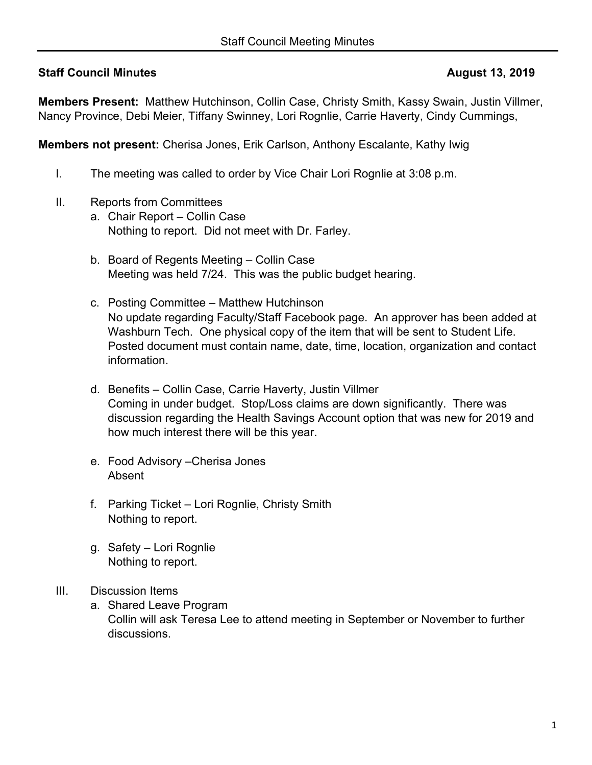## **Staff Council Minutes August 13, 2019**

**Members Present:** Matthew Hutchinson, Collin Case, Christy Smith, Kassy Swain, Justin Villmer, Nancy Province, Debi Meier, Tiffany Swinney, Lori Rognlie, Carrie Haverty, Cindy Cummings,

**Members not present:** Cherisa Jones, Erik Carlson, Anthony Escalante, Kathy Iwig

- I. The meeting was called to order by Vice Chair Lori Rognlie at 3:08 p.m.
- II. Reports from Committees
	- a. Chair Report Collin Case Nothing to report. Did not meet with Dr. Farley.
	- b. Board of Regents Meeting Collin Case Meeting was held 7/24. This was the public budget hearing.
	- c. Posting Committee Matthew Hutchinson No update regarding Faculty/Staff Facebook page. An approver has been added at Washburn Tech. One physical copy of the item that will be sent to Student Life. Posted document must contain name, date, time, location, organization and contact information.
	- d. Benefits Collin Case, Carrie Haverty, Justin Villmer Coming in under budget. Stop/Loss claims are down significantly. There was discussion regarding the Health Savings Account option that was new for 2019 and how much interest there will be this year.
	- e. Food Advisory –Cherisa Jones Absent
	- f. Parking Ticket Lori Rognlie, Christy Smith Nothing to report.
	- g. Safety Lori Rognlie Nothing to report.

## III. Discussion Items

a. Shared Leave Program Collin will ask Teresa Lee to attend meeting in September or November to further discussions.